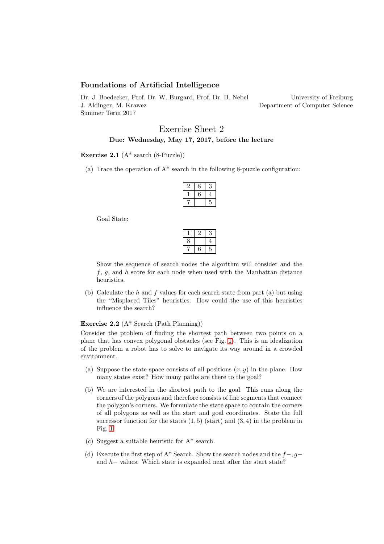# Foundations of Artificial Intelligence

Dr. J. Boedecker, Prof. Dr. W. Burgard, Prof. Dr. B. Nebel J. Aldinger, M. Krawez Summer Term 2017

University of Freiburg Department of Computer Science

# Exercise Sheet 2 Due: Wednesday, May 17, 2017, before the lecture

#### Exercise 2.1  $(A^*$  search  $(8$ -Puzzle))

(a) Trace the operation of  $A^*$  search in the following 8-puzzle configuration:

Goal State:

Show the sequence of search nodes the algorithm will consider and the  $f, g$ , and h score for each node when used with the Manhattan distance heuristics.

(b) Calculate the  $h$  and  $f$  values for each search state from part (a) but using the "Misplaced Tiles" heuristics. How could the use of this heuristics influence the search?

## Exercise 2.2 (A\* Search (Path Planning))

Consider the problem of finding the shortest path between two points on a plane that has convex polygonal obstacles (see Fig. [1\)](#page-1-0). This is an idealization of the problem a robot has to solve to navigate its way around in a crowded environment.

- (a) Suppose the state space consists of all positions  $(x, y)$  in the plane. How many states exist? How many paths are there to the goal?
- (b) We are interested in the shortest path to the goal. This runs along the corners of the polygons and therefore consists of line segments that connect the polygon's corners. We formulate the state space to contain the corners of all polygons as well as the start and goal coordinates. State the full successor function for the states  $(1, 5)$  (start) and  $(3, 4)$  in the problem in Fig. [1.](#page-1-0)
- (c) Suggest a suitable heuristic for A\* search.
- (d) Execute the first step of A\* Search. Show the search nodes and the  $f-, g$ and h− values. Which state is expanded next after the start state?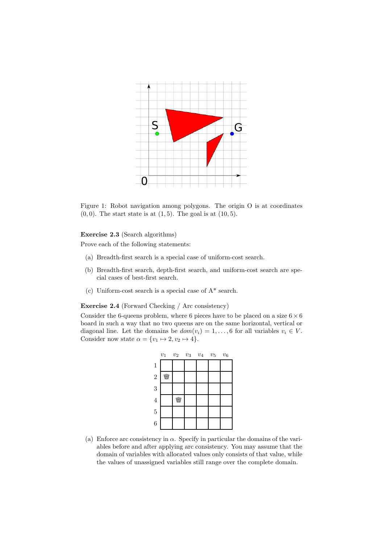

<span id="page-1-0"></span>Figure 1: Robot navigation among polygons. The origin O is at coordinates  $(0, 0)$ . The start state is at  $(1, 5)$ . The goal is at  $(10, 5)$ .

### Exercise 2.3 (Search algorithms)

Prove each of the following statements:

- (a) Breadth-first search is a special case of uniform-cost search.
- (b) Breadth-first search, depth-first search, and uniform-cost search are special cases of best-first search.
- (c) Uniform-cost search is a special case of A\* search.

Exercise 2.4 (Forward Checking / Arc consistency)

Consider the 6-queens problem, where 6 pieces have to be placed on a size  $6 \times 6$ board in such a way that no two queens are on the same horizontal, vertical or diagonal line. Let the domains be  $dom(v_i) = 1, \ldots, 6$  for all variables  $v_i \in V$ . Consider now state  $\alpha = \{v_1 \mapsto 2, v_2 \mapsto 4\}.$ 



(a) Enforce arc consistency in  $\alpha$ . Specify in particular the domains of the variables before and after applying arc consistency. You may assume that the domain of variables with allocated values only consists of that value, while the values of unassigned variables still range over the complete domain.